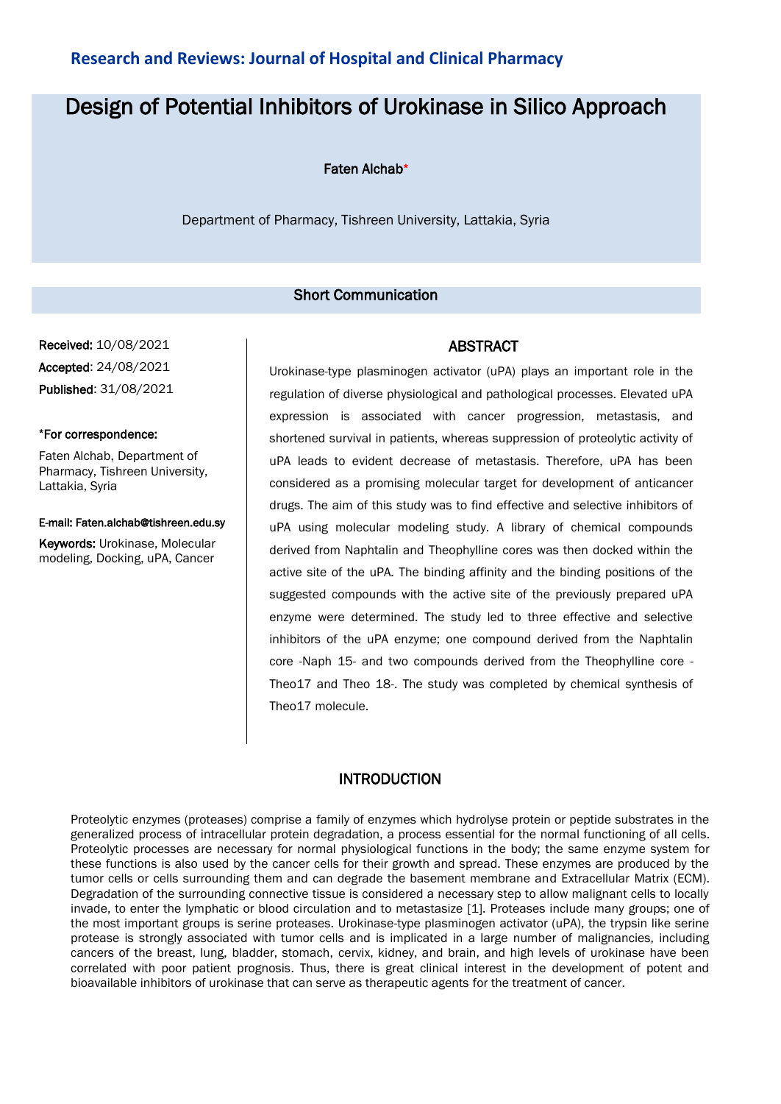# **Research and Reviews: Journal of Hospital and Clinical Pharmacy**

# Design of Potential Inhibitors of Urokinase in Silico Approach

#### Faten Alchab\*

Department of Pharmacy, Tishreen University, Lattakia, Syria

### Short Communication

Received: 10/08/2021 Accepted: 24/08/2021 Published: 31/08/2021

#### \*For correspondence:

Faten Alchab, Department of Pharmacy, Tishreen University, Lattakia, Syria

E-mail: Faten.alchab@tishreen.edu.sy

Keywords: Urokinase, Molecular modeling, Docking, uPA, Cancer

#### ABSTRACT

Urokinase-type plasminogen activator (uPA) plays an important role in the regulation of diverse physiological and pathological processes. Elevated uPA expression is associated with cancer progression, metastasis, and shortened survival in patients, whereas suppression of proteolytic activity of uPA leads to evident decrease of metastasis. Therefore, uPA has been considered as a promising molecular target for development of anticancer drugs. The aim of this study was to find effective and selective inhibitors of uPA using molecular modeling study. A library of chemical compounds derived from Naphtalin and Theophylline cores was then docked within the active site of the uPA. The binding affinity and the binding positions of the suggested compounds with the active site of the previously prepared uPA enzyme were determined. The study led to three effective and selective inhibitors of the uPA enzyme; one compound derived from the Naphtalin core -Naph 15- and two compounds derived from the Theophylline core - Theo17 and Theo 18-. The study was completed by chemical synthesis of Theo17 molecule.

#### INTRODUCTION

Proteolytic enzymes (proteases) comprise a family of enzymes which hydrolyse protein or peptide substrates in the generalized process of intracellular protein degradation, a process essential for the normal functioning of all cells. Proteolytic processes are necessary for normal physiological functions in the body; the same enzyme system for these functions is also used by the cancer cells for their growth and spread. These enzymes are produced by the tumor cells or cells surrounding them and can degrade the basement membrane and Extracellular Matrix (ECM). Degradation of the surrounding connective tissue is considered a necessary step to allow malignant cells to locally invade, to enter the lymphatic or blood circulation and to metastasize [1]. Proteases include many groups; one of the most important groups is serine proteases. Urokinase-type plasminogen activator (uPA), the trypsin like serine protease is strongly associated with tumor cells and is implicated in a large number of malignancies, including cancers of the breast, lung, bladder, stomach, cervix, kidney, and brain, and high levels of urokinase have been correlated with poor patient prognosis. Thus, there is great clinical interest in the development of potent and bioavailable inhibitors of urokinase that can serve as therapeutic agents for the treatment of cancer.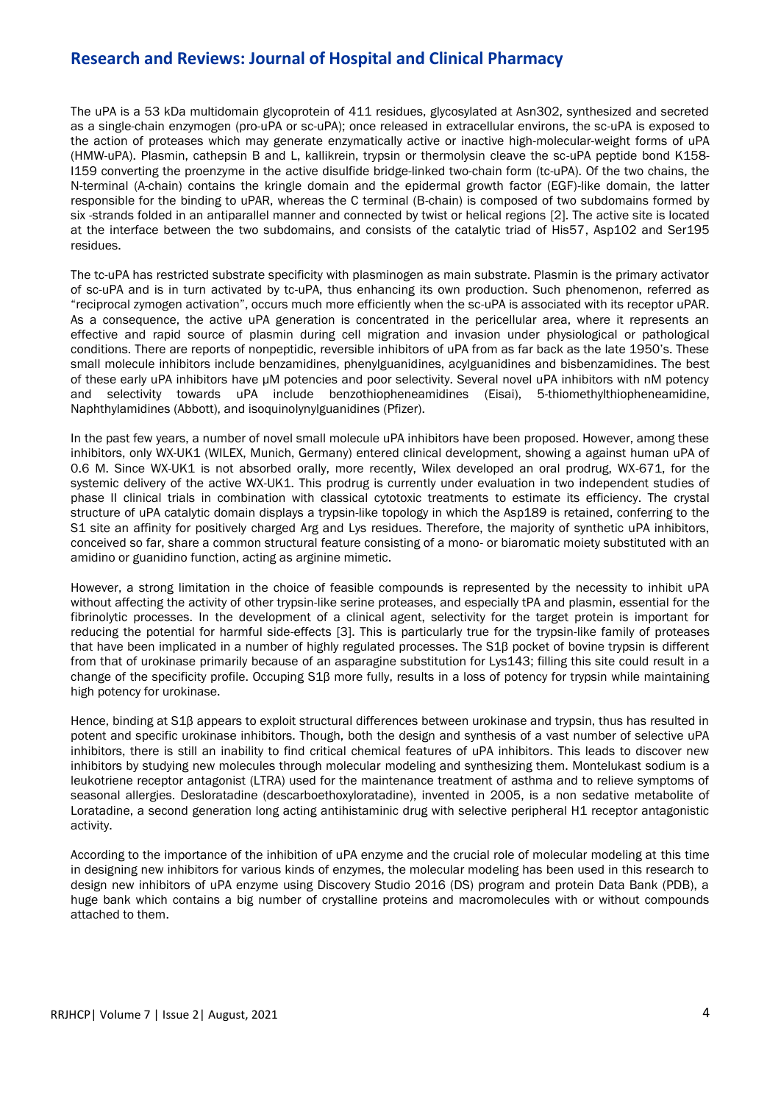# **Research and Reviews: Journal of Hospital and Clinical Pharmacy**

The uPA is a 53 kDa multidomain glycoprotein of 411 residues, glycosylated at Asn302, synthesized and secreted as a single-chain enzymogen (pro-uPA or sc-uPA); once released in extracellular environs, the sc-uPA is exposed to the action of proteases which may generate enzymatically active or inactive high-molecular-weight forms of uPA (HMW-uPA). Plasmin, cathepsin B and L, kallikrein, trypsin or thermolysin cleave the sc-uPA peptide bond K158- I159 converting the proenzyme in the active disulfide bridge-linked two-chain form (tc-uPA). Of the two chains, the N-terminal (A-chain) contains the kringle domain and the epidermal growth factor (EGF)-like domain, the latter responsible for the binding to uPAR, whereas the C terminal (B-chain) is composed of two subdomains formed by six -strands folded in an antiparallel manner and connected by twist or helical regions [2]. The active site is located at the interface between the two subdomains, and consists of the catalytic triad of His57, Asp102 and Ser195 residues.

The tc-uPA has restricted substrate specificity with plasminogen as main substrate. Plasmin is the primary activator of sc-uPA and is in turn activated by tc-uPA, thus enhancing its own production. Such phenomenon, referred as "reciprocal zymogen activation", occurs much more efficiently when the sc-uPA is associated with its receptor uPAR. As a consequence, the active uPA generation is concentrated in the pericellular area, where it represents an effective and rapid source of plasmin during cell migration and invasion under physiological or pathological conditions. There are reports of nonpeptidic, reversible inhibitors of uPA from as far back as the late 1950's. These small molecule inhibitors include benzamidines, phenylguanidines, acylguanidines and bisbenzamidines. The best of these early uPA inhibitors have µM potencies and poor selectivity. Several novel uPA inhibitors with nM potency and selectivity towards uPA include benzothiopheneamidines (Eisai), 5-thiomethylthiopheneamidine, Naphthylamidines (Abbott), and isoquinolynylguanidines (Pfizer).

In the past few years, a number of novel small molecule uPA inhibitors have been proposed. However, among these inhibitors, only WX-UK1 (WILEX, Munich, Germany) entered clinical development, showing a against human uPA of 0.6 M. Since WX-UK1 is not absorbed orally, more recently, Wilex developed an oral prodrug, WX-671, for the systemic delivery of the active WX-UK1. This prodrug is currently under evaluation in two independent studies of phase II clinical trials in combination with classical cytotoxic treatments to estimate its efficiency. The crystal structure of uPA catalytic domain displays a trypsin-like topology in which the Asp189 is retained, conferring to the S1 site an affinity for positively charged Arg and Lys residues. Therefore, the majority of synthetic uPA inhibitors, conceived so far, share a common structural feature consisting of a mono- or biaromatic moiety substituted with an amidino or guanidino function, acting as arginine mimetic.

However, a strong limitation in the choice of feasible compounds is represented by the necessity to inhibit uPA without affecting the activity of other trypsin-like serine proteases, and especially tPA and plasmin, essential for the fibrinolytic processes. In the development of a clinical agent, selectivity for the target protein is important for reducing the potential for harmful side-effects [3]. This is particularly true for the trypsin-like family of proteases that have been implicated in a number of highly regulated processes. The S1β pocket of bovine trypsin is different from that of urokinase primarily because of an asparagine substitution for Lys143; filling this site could result in a change of the specificity profile. Occuping S1β more fully, results in a loss of potency for trypsin while maintaining high potency for urokinase.

Hence, binding at S1β appears to exploit structural differences between urokinase and trypsin, thus has resulted in potent and specific urokinase inhibitors. Though, both the design and synthesis of a vast number of selective uPA inhibitors, there is still an inability to find critical chemical features of uPA inhibitors. This leads to discover new inhibitors by studying new molecules through molecular modeling and synthesizing them. Montelukast sodium is a leukotriene receptor antagonist (LTRA) used for the maintenance treatment of asthma and to relieve symptoms of seasonal allergies. Desloratadine (descarboethoxyloratadine), invented in 2005, is a non sedative metabolite of Loratadine, a second generation long acting antihistaminic drug with selective peripheral H1 receptor antagonistic activity.

According to the importance of the inhibition of uPA enzyme and the crucial role of molecular modeling at this time in designing new inhibitors for various kinds of enzymes, the molecular modeling has been used in this research to design new inhibitors of uPA enzyme using Discovery Studio 2016 (DS) program and protein Data Bank (PDB), a huge bank which contains a big number of crystalline proteins and macromolecules with or without compounds attached to them.